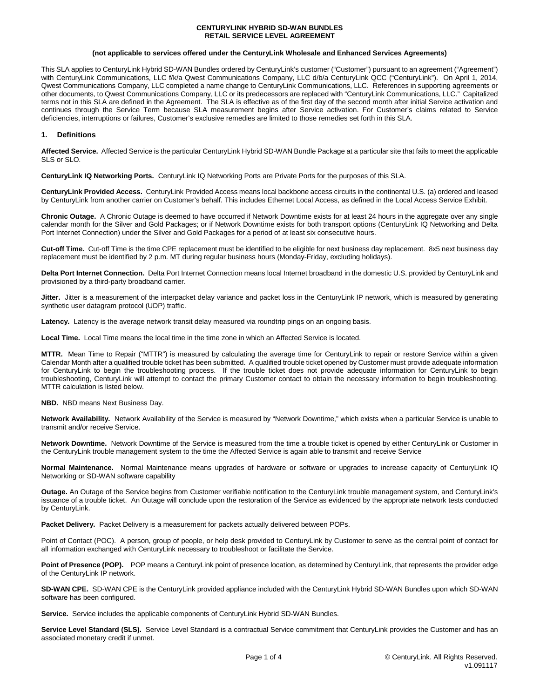### **(not applicable to services offered under the CenturyLink Wholesale and Enhanced Services Agreements)**

This SLA applies to CenturyLink Hybrid SD-WAN Bundles ordered by CenturyLink's customer ("Customer") pursuant to an agreement ("Agreement") with CenturyLink Communications, LLC f/k/a Qwest Communications Company, LLC d/b/a CenturyLink QCC ("CenturyLink"). On April 1, 2014, Qwest Communications Company, LLC completed a name change to CenturyLink Communications, LLC. References in supporting agreements or other documents, to Qwest Communications Company, LLC or its predecessors are replaced with "CenturyLink Communications, LLC." Capitalized terms not in this SLA are defined in the Agreement. The SLA is effective as of the first day of the second month after initial Service activation and continues through the Service Term because SLA measurement begins after Service activation. For Customer's claims related to Service deficiencies, interruptions or failures, Customer's exclusive remedies are limited to those remedies set forth in this SLA.

# **1. Definitions**

**Affected Service.** Affected Service is the particular CenturyLink Hybrid SD-WAN Bundle Package at a particular site that fails to meet the applicable SLS or SLO.

**CenturyLink IQ Networking Ports.** CenturyLink IQ Networking Ports are Private Ports for the purposes of this SLA.

**CenturyLink Provided Access.** CenturyLink Provided Access means local backbone access circuits in the continental U.S. (a) ordered and leased by CenturyLink from another carrier on Customer's behalf. This includes Ethernet Local Access, as defined in the Local Access Service Exhibit.

**Chronic Outage.** A Chronic Outage is deemed to have occurred if Network Downtime exists for at least 24 hours in the aggregate over any single calendar month for the Silver and Gold Packages; or if Network Downtime exists for both transport options (CenturyLink IQ Networking and Delta Port Internet Connection) under the Silver and Gold Packages for a period of at least six consecutive hours.

**Cut-off Time.** Cut-off Time is the time CPE replacement must be identified to be eligible for next business day replacement. 8x5 next business day replacement must be identified by 2 p.m. MT during regular business hours (Monday-Friday, excluding holidays).

**Delta Port Internet Connection.** Delta Port Internet Connection means local Internet broadband in the domestic U.S. provided by CenturyLink and provisioned by a third-party broadband carrier.

**Jitter.** Jitter is a measurement of the interpacket delay variance and packet loss in the CenturyLink IP network, which is measured by generating synthetic user datagram protocol (UDP) traffic.

Latency. Latency is the average network transit delay measured via roundtrip pings on an ongoing basis.

**Local Time.** Local Time means the local time in the time zone in which an Affected Service is located.

**MTTR.** Mean Time to Repair ("MTTR") is measured by calculating the average time for CenturyLink to repair or restore Service within a given Calendar Month after a qualified trouble ticket has been submitted. A qualified trouble ticket opened by Customer must provide adequate information for CenturyLink to begin the troubleshooting process. If the trouble ticket does not provide adequate information for CenturyLink to begin troubleshooting, CenturyLink will attempt to contact the primary Customer contact to obtain the necessary information to begin troubleshooting. MTTR calculation is listed below.

**NBD.** NBD means Next Business Day.

**Network Availability.** Network Availability of the Service is measured by "Network Downtime," which exists when a particular Service is unable to transmit and/or receive Service.

**Network Downtime.** Network Downtime of the Service is measured from the time a trouble ticket is opened by either CenturyLink or Customer in the CenturyLink trouble management system to the time the Affected Service is again able to transmit and receive Service

**Normal Maintenance.** Normal Maintenance means upgrades of hardware or software or upgrades to increase capacity of CenturyLink IQ Networking or SD-WAN software capability

**Outage.** An Outage of the Service begins from Customer verifiable notification to the CenturyLink trouble management system, and CenturyLink's issuance of a trouble ticket. An Outage will conclude upon the restoration of the Service as evidenced by the appropriate network tests conducted by CenturyLink.

**Packet Delivery.** Packet Delivery is a measurement for packets actually delivered between POPs.

Point of Contact (POC). A person, group of people, or help desk provided to CenturyLink by Customer to serve as the central point of contact for all information exchanged with CenturyLink necessary to troubleshoot or facilitate the Service.

Point of Presence (POP). POP means a CenturyLink point of presence location, as determined by CenturyLink, that represents the provider edge of the CenturyLink IP network.

**SD-WAN CPE.** SD-WAN CPE is the CenturyLink provided appliance included with the CenturyLink Hybrid SD-WAN Bundles upon which SD-WAN software has been configured.

**Service.** Service includes the applicable components of CenturyLink Hybrid SD-WAN Bundles.

Service Level Standard (SLS). Service Level Standard is a contractual Service commitment that CenturyLink provides the Customer and has an associated monetary credit if unmet.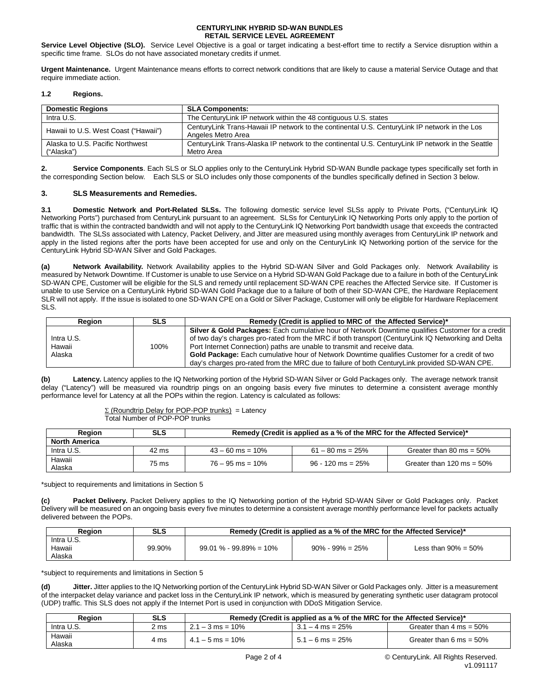Service Level Objective (SLO). Service Level Objective is a goal or target indicating a best-effort time to rectify a Service disruption within a specific time frame. SLOs do not have associated monetary credits if unmet.

**Urgent Maintenance.** Urgent Maintenance means efforts to correct network conditions that are likely to cause a material Service Outage and that require immediate action.

## **1.2 Regions.**

| <b>Domestic Regions</b>              | <b>SLA Components:</b>                                                                                              |
|--------------------------------------|---------------------------------------------------------------------------------------------------------------------|
| Intra U.S.                           | The Century Link IP network within the 48 contiguous U.S. states                                                    |
| Hawaii to U.S. West Coast ("Hawaii") | CenturyLink Trans-Hawaii IP network to the continental U.S. CenturyLink IP network in the Los<br>Angeles Metro Area |
| Alaska to U.S. Pacific Northwest     | CenturyLink Trans-Alaska IP network to the continental U.S. CenturyLink IP network in the Seattle                   |
| ("Alaska")                           | Metro Area                                                                                                          |

**2. Service Components**. Each SLS or SLO applies only to the CenturyLink Hybrid SD-WAN Bundle package types specifically set forth in the corresponding Section below. Each SLS or SLO includes only those components of the bundles specifically defined in Section 3 below.

# **3. SLS Measurements and Remedies.**

**3.1 Domestic Network and Port-Related SLSs.** The following domestic service level SLSs apply to Private Ports, ("CenturyLink IQ Networking Ports") purchased from CenturyLink pursuant to an agreement. SLSs for CenturyLink IQ Networking Ports only apply to the portion of traffic that is within the contracted bandwidth and will not apply to the CenturyLink IQ Networking Port bandwidth usage that exceeds the contracted bandwidth. The SLSs associated with Latency, Packet Delivery, and Jitter are measured using monthly averages from CenturyLink IP network and apply in the listed regions after the ports have been accepted for use and only on the CenturyLink IQ Networking portion of the service for the CenturyLink Hybrid SD-WAN Silver and Gold Packages.

**(a) Network Availability.** Network Availability applies to the Hybrid SD-WAN Silver and Gold Packages only. Network Availability is measured by Network Downtime. If Customer is unable to use Service on a Hybrid SD-WAN Gold Package due to a failure in both of the CenturyLink SD-WAN CPE, Customer will be eligible for the SLS and remedy until replacement SD-WAN CPE reaches the Affected Service site. If Customer is unable to use Service on a CenturyLink Hybrid SD-WAN Gold Package due to a failure of both of their SD-WAN CPE, the Hardware Replacement SLR will not apply. If the issue is isolated to one SD-WAN CPE on a Gold or Silver Package, Customer will only be eligible for Hardware Replacement SLS.

| <b>Region</b>                  | SLS  | Remedy (Credit is applied to MRC of the Affected Service)*                                                                                                                                                                                                                                                                                                                                                                                                                                     |
|--------------------------------|------|------------------------------------------------------------------------------------------------------------------------------------------------------------------------------------------------------------------------------------------------------------------------------------------------------------------------------------------------------------------------------------------------------------------------------------------------------------------------------------------------|
| Intra U.S.<br>Hawaii<br>Alaska | 100% | <b>Silver &amp; Gold Packages:</b> Each cumulative hour of Network Downtime qualifies Customer for a credit<br>of two day's charges pro-rated from the MRC if both transport (CenturyLink IQ Networking and Delta<br>Port Internet Connection) paths are unable to transmit and receive data.<br>Gold Package: Each cumulative hour of Network Downtime qualifies Customer for a credit of two<br>day's charges pro-rated from the MRC due to failure of both CenturyLink provided SD-WAN CPE. |

**(b) Latency.** Latency applies to the IQ Networking portion of the Hybrid SD-WAN Silver or Gold Packages only. The average network transit delay ("Latency") will be measured via roundtrip pings on an ongoing basis every five minutes to determine a consistent average monthly performance level for Latency at all the POPs within the region. Latency is calculated as follows:

> $\Sigma$  (Roundtrip Delay for POP-POP trunks) = Latency Total Number of POP-POP trunks

| <b>Region</b>        | SLS   | Remedy (Credit is applied as a % of the MRC for the Affected Service)* |                     |                              |
|----------------------|-------|------------------------------------------------------------------------|---------------------|------------------------------|
| <b>North America</b> |       |                                                                        |                     |                              |
| Intra U.S.           | 42 ms | $43 - 60$ ms = 10%                                                     | $61 - 80$ ms = 25%  | Greater than 80 ms = $50\%$  |
| Hawaii<br>Alaska     | 75 ms | $76 - 95$ ms = 10%                                                     | $96 - 120$ ms = 25% | Greater than 120 ms = $50\%$ |

\*subject to requirements and limitations in Section 5

**(c) Packet Delivery.** Packet Delivery applies to the IQ Networking portion of the Hybrid SD-WAN Silver or Gold Packages only. Packet Delivery will be measured on an ongoing basis every five minutes to determine a consistent average monthly performance level for packets actually delivered between the POPs.

| Reaion                         | <b>SLS</b> | Remedy (Credit is applied as a % of the MRC for the Affected Service)* |                      |                         |
|--------------------------------|------------|------------------------------------------------------------------------|----------------------|-------------------------|
| Intra U.S.<br>Hawaii<br>Alaska | 99.90%     | $99.01\% - 99.89\% = 10\%$                                             | $90\% - 99\% = 25\%$ | Less than $90\% = 50\%$ |

\*subject to requirements and limitations in Section 5

(d) **Jitter.** Jitter applies to the IQ Networking portion of the CenturyLink Hybrid SD-WAN Silver or Gold Packages only. Jitter is a measurement of the interpacket delay variance and packet loss in the CenturyLink IP network, which is measured by generating synthetic user datagram protocol (UDP) traffic. This SLS does not apply if the Internet Port is used in conjunction with DDoS Mitigation Service.

| Reaion           | <b>SLS</b> | Remedy (Credit is applied as a % of the MRC for the Affected Service)* |                    |                                    |
|------------------|------------|------------------------------------------------------------------------|--------------------|------------------------------------|
| Intra U.S.       | 2 ms       | $2.1 - 3$ ms = 10%                                                     | $3.1 - 4$ ms = 25% | Greater than $4 \text{ ms} = 50\%$ |
| Hawaii<br>Alaska | 4 ms       | $4.1 - 5$ ms = 10%                                                     | $5.1 - 6$ ms = 25% | Greater than 6 ms = $50\%$         |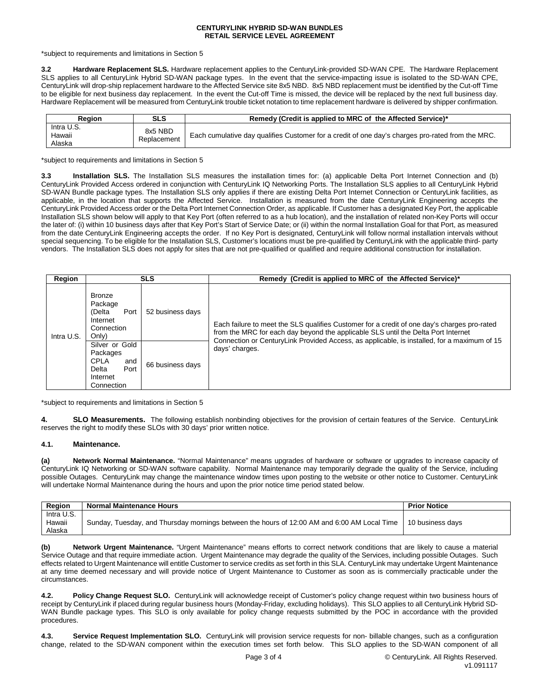\*subject to requirements and limitations in Section 5

**3.2 Hardware Replacement SLS.** Hardware replacement applies to the CenturyLink-provided SD-WAN CPE. The Hardware Replacement SLS applies to all CenturyLink Hybrid SD-WAN package types. In the event that the service-impacting issue is isolated to the SD-WAN CPE, CenturyLink will drop-ship replacement hardware to the Affected Service site 8x5 NBD. 8x5 NBD replacement must be identified by the Cut-off Time to be eligible for next business day replacement. In the event the Cut-off Time is missed, the device will be replaced by the next full business day. Hardware Replacement will be measured from CenturyLink trouble ticket notation to time replacement hardware is delivered by shipper confirmation.

| Region                         | SLS                    | Remedy (Credit is applied to MRC of the Affected Service)*                                       |
|--------------------------------|------------------------|--------------------------------------------------------------------------------------------------|
| Intra U.S.<br>Hawaii<br>Alaska | 8x5 NBD<br>Replacement | Each cumulative day qualifies Customer for a credit of one day's charges pro-rated from the MRC. |

\*subject to requirements and limitations in Section 5

**3.3 Installation SLS.** The Installation SLS measures the installation times for: (a) applicable Delta Port Internet Connection and (b) CenturyLink Provided Access ordered in conjunction with CenturyLink IQ Networking Ports. The Installation SLS applies to all CenturyLink Hybrid SD-WAN Bundle package types. The Installation SLS only applies if there are existing Delta Port Internet Connection or CenturyLink facilities, as applicable, in the location that supports the Affected Service. Installation is measured from the date CenturyLink Engineering accepts the CenturyLink Provided Access order or the Delta Port Internet Connection Order, as applicable. If Customer has a designated Key Port, the applicable Installation SLS shown below will apply to that Key Port (often referred to as a hub location), and the installation of related non-Key Ports will occur the later of: (i) within 10 business days after that Key Port's Start of Service Date; or (ii) within the normal Installation Goal for that Port, as measured from the date CenturyLink Engineering accepts the order. If no Key Port is designated, CenturyLink will follow normal installation intervals without special sequencing. To be eligible for the Installation SLS, Customer's locations must be pre-qualified by CenturyLink with the applicable third- party vendors. The Installation SLS does not apply for sites that are not pre-qualified or qualified and require additional construction for installation.

| Region     |                                                                                      | <b>SLS</b>       | Remedy (Credit is applied to MRC of the Affected Service)*                                                                                                                                                                                                                      |
|------------|--------------------------------------------------------------------------------------|------------------|---------------------------------------------------------------------------------------------------------------------------------------------------------------------------------------------------------------------------------------------------------------------------------|
| Intra U.S. | <b>Bronze</b><br>Package<br>Port<br>(Delta<br>Internet<br>Connection<br>Only)        | 52 business days | Each failure to meet the SLS qualifies Customer for a credit of one day's charges pro-rated<br>from the MRC for each day beyond the applicable SLS until the Delta Port Internet<br>Connection or CenturyLink Provided Access, as applicable, is installed, for a maximum of 15 |
|            | Silver or Gold<br>Packages<br>CPLA<br>and<br>Port<br>Delta<br>Internet<br>Connection | 66 business days | days' charges.                                                                                                                                                                                                                                                                  |

\*subject to requirements and limitations in Section 5

**4. SLO Measurements.** The following establish nonbinding objectives for the provision of certain features of the Service. CenturyLink reserves the right to modify these SLOs with 30 days' prior written notice.

# **4.1. Maintenance.**

**(a) Network Normal Maintenance.** "Normal Maintenance" means upgrades of hardware or software or upgrades to increase capacity of CenturyLink IQ Networking or SD-WAN software capability. Normal Maintenance may temporarily degrade the quality of the Service, including possible Outages. CenturyLink may change the maintenance window times upon posting to the website or other notice to Customer. CenturyLink will undertake Normal Maintenance during the hours and upon the prior notice time period stated below.

| Region                         | <b>Normal Maintenance Hours</b>                                                             | <b>Prior Notice</b> |
|--------------------------------|---------------------------------------------------------------------------------------------|---------------------|
| Intra U.S.<br>Hawaii<br>Alaska | Sunday, Tuesday, and Thursday mornings between the hours of 12:00 AM and 6:00 AM Local Time | 10 business davs    |

**(b) Network Urgent Maintenance.** "Urgent Maintenance" means efforts to correct network conditions that are likely to cause a material Service Outage and that require immediate action. Urgent Maintenance may degrade the quality of the Services, including possible Outages. Such effects related to Urgent Maintenance will entitle Customer to service credits as set forth in this SLA. CenturyLink may undertake Urgent Maintenance at any time deemed necessary and will provide notice of Urgent Maintenance to Customer as soon as is commercially practicable under the circumstances.

**4.2. Policy Change Request SLO.** CenturyLink will acknowledge receipt of Customer's policy change request within two business hours of receipt by CenturyLink if placed during regular business hours (Monday-Friday, excluding holidays). This SLO applies to all CenturyLink Hybrid SD-WAN Bundle package types. This SLO is only available for policy change requests submitted by the POC in accordance with the provided procedures.

**4.3. Service Request Implementation SLO.** CenturyLink will provision service requests for non- billable changes, such as a configuration change, related to the SD-WAN component within the execution times set forth below. This SLO applies to the SD-WAN component of all